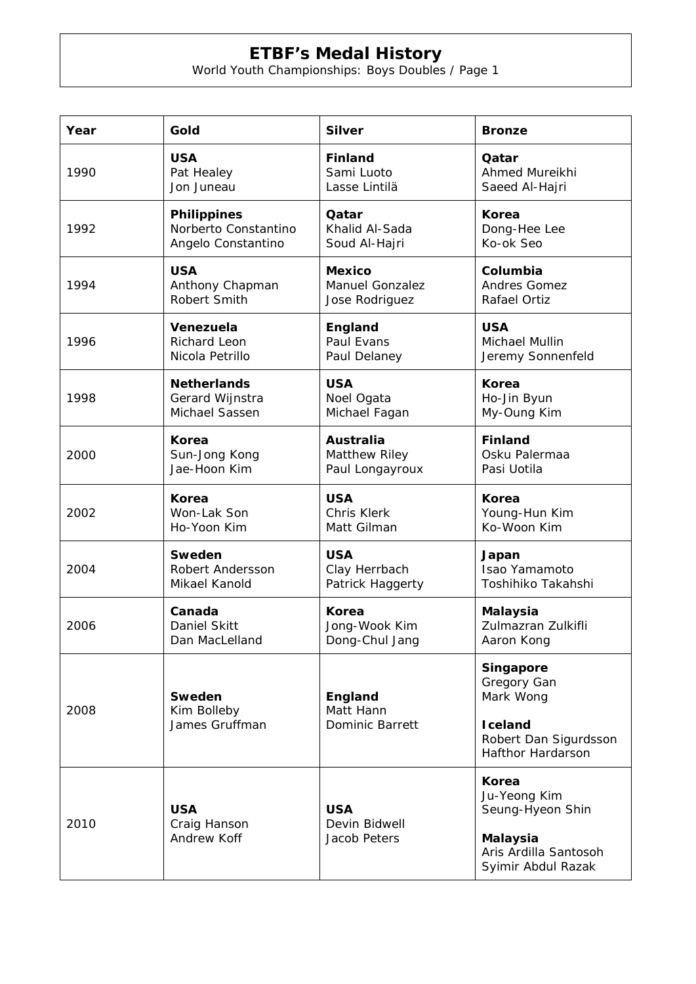## **ETBF's Medal History**

World Youth Championships: Boys Doubles / Page 1

| Year | Gold                                      | <b>Silver</b>                                  | <b>Bronze</b>                                                                                                 |
|------|-------------------------------------------|------------------------------------------------|---------------------------------------------------------------------------------------------------------------|
| 1990 | <b>USA</b>                                | <b>Finland</b>                                 | Qatar                                                                                                         |
|      | Pat Healey                                | Sami Luoto                                     | Ahmed Mureikhi                                                                                                |
|      | Jon Juneau                                | Lasse Lintilä                                  | Saeed Al-Hajri                                                                                                |
| 1992 | <b>Philippines</b>                        | Qatar                                          | <b>Korea</b>                                                                                                  |
|      | Norberto Constantino                      | Khalid Al-Sada                                 | Dong-Hee Lee                                                                                                  |
|      | Angelo Constantino                        | Soud Al-Hajri                                  | Ko-ok Seo                                                                                                     |
| 1994 | <b>USA</b>                                | <b>Mexico</b>                                  | Columbia                                                                                                      |
|      | Anthony Chapman                           | <b>Manuel Gonzalez</b>                         | Andres Gomez                                                                                                  |
|      | Robert Smith                              | Jose Rodriguez                                 | Rafael Ortiz                                                                                                  |
| 1996 | Venezuela                                 | England                                        | <b>USA</b>                                                                                                    |
|      | Richard Leon                              | Paul Evans                                     | Michael Mullin                                                                                                |
|      | Nicola Petrillo                           | Paul Delaney                                   | Jeremy Sonnenfeld                                                                                             |
| 1998 | <b>Netherlands</b>                        | <b>USA</b>                                     | <b>Korea</b>                                                                                                  |
|      | Gerard Wijnstra                           | Noel Ogata                                     | Ho-Jin Byun                                                                                                   |
|      | Michael Sassen                            | Michael Fagan                                  | My-Oung Kim                                                                                                   |
| 2000 | <b>Korea</b>                              | <b>Australia</b>                               | <b>Finland</b>                                                                                                |
|      | Sun-Jong Kong                             | Matthew Riley                                  | Osku Palermaa                                                                                                 |
|      | Jae-Hoon Kim                              | Paul Longayroux                                | Pasi Uotila                                                                                                   |
| 2002 | Korea                                     | <b>USA</b>                                     | <b>Korea</b>                                                                                                  |
|      | Won-Lak Son                               | <b>Chris Klerk</b>                             | Young-Hun Kim                                                                                                 |
|      | Ho-Yoon Kim                               | Matt Gilman                                    | Ko-Woon Kim                                                                                                   |
| 2004 | Sweden                                    | <b>USA</b>                                     | Japan                                                                                                         |
|      | Robert Andersson                          | Clay Herrbach                                  | Isao Yamamoto                                                                                                 |
|      | Mikael Kanold                             | Patrick Haggerty                               | Toshihiko Takahshi                                                                                            |
| 2006 | Canada                                    | <b>Korea</b>                                   | <b>Malaysia</b>                                                                                               |
|      | Daniel Skitt                              | Jong-Wook Kim                                  | Zulmazran Zulkifli                                                                                            |
|      | Dan MacLelland                            | Dong-Chul Jang                                 | Aaron Kong                                                                                                    |
| 2008 | Sweden<br>Kim Bolleby<br>James Gruffman   | England<br>Matt Hann<br><b>Dominic Barrett</b> | Singapore<br>Gregory Gan<br>Mark Wong<br><b>I</b> celand<br>Robert Dan Sigurdsson<br><b>Hafthor Hardarson</b> |
| 2010 | <b>USA</b><br>Craig Hanson<br>Andrew Koff | <b>USA</b><br>Devin Bidwell<br>Jacob Peters    | Korea<br>Ju-Yeong Kim<br>Seung-Hyeon Shin<br><b>Malaysia</b><br>Aris Ardilla Santosoh<br>Syimir Abdul Razak   |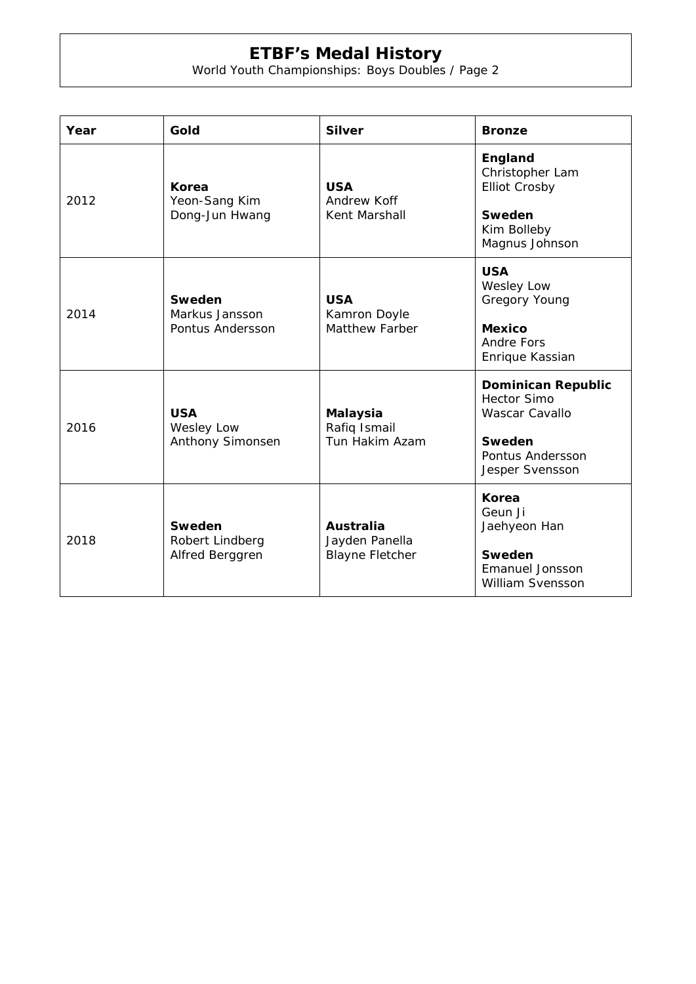## **ETBF's Medal History**

World Youth Championships: Boys Doubles / Page 2

| Year | Gold                                         | <b>Silver</b>                                                | <b>Bronze</b>                                                                                                      |
|------|----------------------------------------------|--------------------------------------------------------------|--------------------------------------------------------------------------------------------------------------------|
| 2012 | Korea<br>Yeon-Sang Kim<br>Dong-Jun Hwang     | <b>USA</b><br>Andrew Koff<br>Kent Marshall                   | England<br>Christopher Lam<br><b>Elliot Crosby</b><br><b>Sweden</b><br>Kim Bolleby<br>Magnus Johnson               |
| 2014 | Sweden<br>Markus Jansson<br>Pontus Andersson | <b>USA</b><br>Kamron Doyle<br><b>Matthew Farber</b>          | <b>USA</b><br><b>Wesley Low</b><br>Gregory Young<br><b>Mexico</b><br><b>Andre Fors</b><br>Enrique Kassian          |
| 2016 | <b>USA</b><br>Wesley Low<br>Anthony Simonsen | <b>Malaysia</b><br>Rafiq Ismail<br>Tun Hakim Azam            | <b>Dominican Republic</b><br><b>Hector Simo</b><br>Wascar Cavallo<br>Sweden<br>Pontus Andersson<br>Jesper Svensson |
| 2018 | Sweden<br>Robert Lindberg<br>Alfred Berggren | <b>Australia</b><br>Jayden Panella<br><b>Blayne Fletcher</b> | <b>Korea</b><br>Geun Ji<br>Jaehyeon Han<br>Sweden<br><b>Emanuel Jonsson</b><br>William Svensson                    |